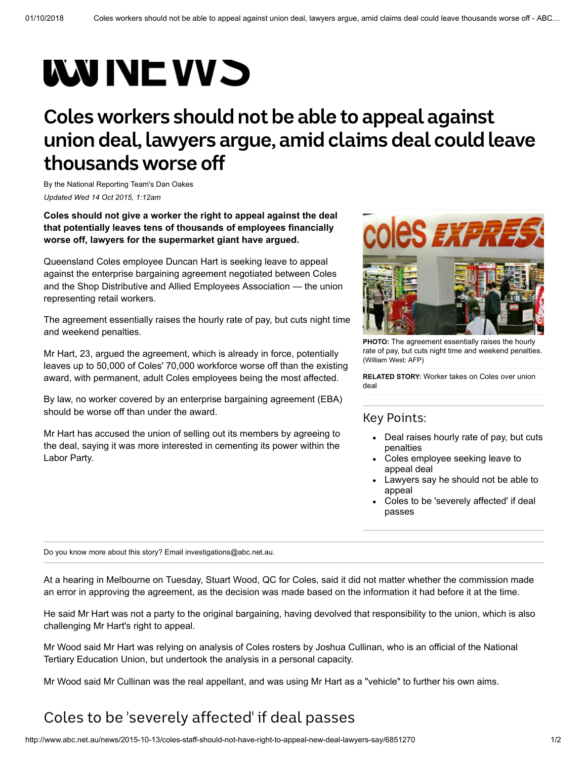## **WUNE VVS**

## **Coles workers should not be able to appeal against union deal,lawyers argue, amid claims deal could leave thousands worse off**

By the National Reporting Team's [Dan Oakes](http://www.abc.net.au/news/dan-oakes/5618988) *Updated Wed 14 Oct 2015, 1:12am*

**Coles should not give a worker the right to appeal against the deal that potentially leaves tens of thousands of employees financially worse off, lawyers for the supermarket giant have argued.**

Queensland Coles employee Duncan Hart is seeking leave to appeal against the enterprise bargaining agreement negotiated between Coles and the Shop Distributive and Allied Employees Association — the union representing retail workers.

The agreement essentially raises the hourly rate of pay, but cuts night time and weekend penalties.

Mr Hart, 23, argued the agreement, which is already in force, potentially leaves up to 50,000 of Coles' 70,000 workforce worse off than the existing award, with permanent, adult Coles employees being the most affected.

By law, no worker covered by an enterprise bargaining agreement (EBA) should be worse off than under the award.

Mr Hart has accused the union of selling out its members by agreeing to the deal, saying it was more interested in cementing its power within the Labor Party.



**PHOTO:** The agreement essentially raises the hourly [rate of pay, but cuts night time and weekend penalties.](http://www.abc.net.au/news/2015-10-13/coles-express/6851358) (William West: AFP)

**RELATED STORY:** [Worker takes on Coles over union](http://www.abc.net.au/news/2015-10-06/coles-employee-takes-legal-action-over-union-deal/6830818) deal

## Key Points:

- Deal raises hourly rate of pay, but cuts penalties
- Coles employee seeking leave to appeal deal
- Lawyers say he should not be able to appeal
- Coles to be 'severely affected' if deal passes

Do you know more about this story? Email [investigations@abc.net.au.](mailto:investigations@abc.net.au)

At a hearing in Melbourne on Tuesday, Stuart Wood, QC for Coles, said it did not matter whether the commission made an error in approving the agreement, as the decision was made based on the information it had before it at the time.

He said Mr Hart was not a party to the original bargaining, having devolved that responsibility to the union, which is also challenging Mr Hart's right to appeal.

Mr Wood said Mr Hart was relying on analysis of Coles rosters by Joshua Cullinan, who is an official of the National Tertiary Education Union, but undertook the analysis in a personal capacity.

Mr Wood said Mr Cullinan was the real appellant, and was using Mr Hart as a "vehicle" to further his own aims.

## Coles to be 'severely affected' if deal passes